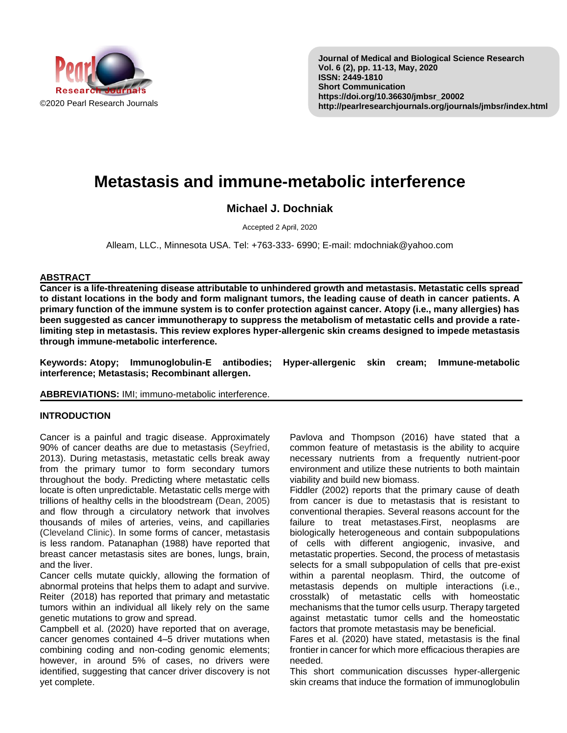

# **Metastasis and immune-metabolic interference**

## **Michael J. Dochniak**

Accepted 2 April, 2020

Alleam, LLC., Minnesota USA. Tel: +763-333- 6990; E-mail: mdochniak@yahoo.com

### **ABSTRACT**

**Cancer is a life-threatening disease attributable to unhindered growth and metastasis. Metastatic cells spread to distant locations in the body and form malignant tumors, the leading cause of death in cancer patients. A primary function of the immune system is to confer protection against cancer. Atopy (i.e., many allergies) has been suggested as cancer immunotherapy to suppress the metabolism of metastatic cells and provide a ratelimiting step in metastasis. This review explores hyper-allergenic skin creams designed to impede metastasis through immune-metabolic interference.**

**Keywords: Atopy; Immunoglobulin-E antibodies; Hyper-allergenic skin cream; Immune-metabolic interference; Metastasis; Recombinant allergen.**

### **ABBREVIATIONS:** IMI; immuno-metabolic interference.

## **INTRODUCTION**

Cancer is a painful and tragic disease. Approximately 90% of cancer deaths are due to metastasis (Seyfried, 2013). During metastasis, metastatic cells break away from the primary tumor to form secondary tumors throughout the body. Predicting where metastatic cells locate is often unpredictable. Metastatic cells merge with trillions of healthy cells in the bloodstream (Dean, 2005) and flow through a circulatory network that involves thousands of miles of arteries, veins, and capillaries (Cleveland Clinic). In some forms of cancer, metastasis is less random. Patanaphan (1988) have reported that breast cancer metastasis sites are bones, lungs, brain, and the liver.

Cancer cells mutate quickly, allowing the formation of abnormal proteins that helps them to adapt and survive. Reiter (2018) has reported that primary and metastatic tumors within an individual all likely rely on the same genetic mutations to grow and spread.

Campbell et al. (2020) have reported that on average, cancer genomes contained 4–5 driver mutations when combining coding and non-coding genomic elements; however, in around 5% of cases, no drivers were identified, suggesting that cancer driver discovery is not yet complete.

Pavlova and Thompson (2016) have stated that a common feature of metastasis is the ability to acquire necessary nutrients from a frequently nutrient-poor environment and utilize these nutrients to both maintain viability and build new biomass.

Fiddler (2002) reports that the primary cause of death from cancer is due to metastasis that is resistant to conventional therapies. Several reasons account for the failure to treat metastases.First, neoplasms are biologically heterogeneous and contain subpopulations of cells with different angiogenic, invasive, and metastatic properties. Second, the process of metastasis selects for a small subpopulation of cells that pre-exist within a parental neoplasm. Third, the outcome of metastasis depends on multiple interactions (i.e., crosstalk) of metastatic cells with homeostatic mechanisms that the tumor cells usurp. Therapy targeted against metastatic tumor cells and the homeostatic factors that promote metastasis may be beneficial.

Fares et al. (2020) have stated, metastasis is the final frontier in cancer for which more efficacious therapies are needed.

This short communication discusses hyper-allergenic skin creams that induce the formation of immunoglobulin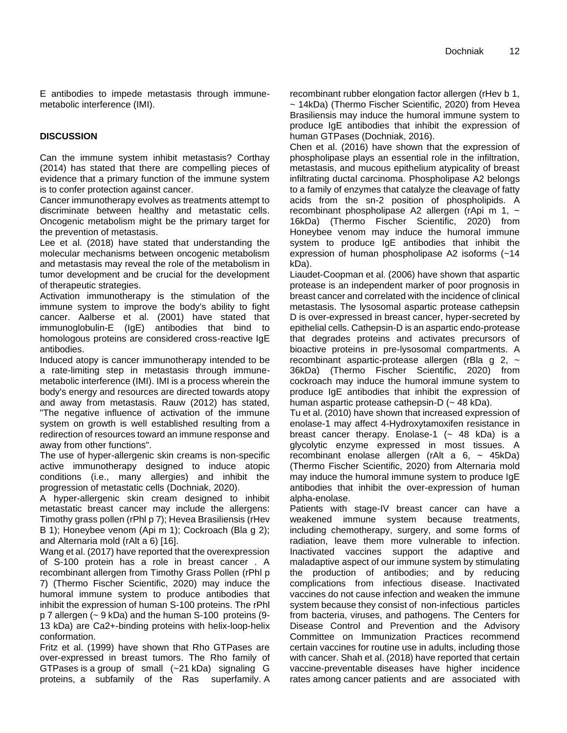E antibodies to impede metastasis through immunemetabolic interference (IMI).

## **DISCUSSION**

Can the immune system inhibit metastasis? Corthay (2014) has stated that there are compelling pieces of evidence that a primary function of the immune system is to confer protection against cancer.

Cancer immunotherapy evolves as treatments attempt to discriminate between healthy and metastatic cells. Oncogenic metabolism might be the primary target for the prevention of metastasis.

Lee et al. (2018) have stated that understanding the molecular mechanisms between oncogenic metabolism and metastasis may reveal the role of the metabolism in tumor development and be crucial for the development of therapeutic strategies.

Activation immunotherapy is the stimulation of the immune system to improve the body's ability to fight cancer. Aalberse et al. (2001) have stated that immunoglobulin-E (IgE) antibodies that bind to homologous proteins are considered cross-reactive IgE antibodies.

Induced atopy is cancer immunotherapy intended to be a rate-limiting step in metastasis through immunemetabolic interference (IMI). IMI is a process wherein the body's energy and resources are directed towards atopy and away from metastasis. Rauw (2012) has stated, "The negative influence of activation of the immune system on growth is well established resulting from a redirection of resources toward an immune response and away from other functions".

The use of hyper-allergenic skin creams is non-specific active immunotherapy designed to induce atopic conditions (i.e., many allergies) and inhibit the progression of metastatic cells (Dochniak, 2020).

A hyper-allergenic skin cream designed to inhibit metastatic breast cancer may include the allergens: Timothy grass pollen (rPhl p 7); Hevea Brasiliensis (rHev B 1); Honeybee venom (Api m 1); Cockroach (Bla g 2); and Alternaria mold (rAlt a 6) [16].

Wang et al. (2017) have reported that the overexpression of S-100 protein has a role in breast cancer . A recombinant allergen from Timothy Grass Pollen (rPhl p 7) (Thermo Fischer Scientific, 2020) may induce the humoral immune system to produce antibodies that inhibit the expression of human S-100 proteins. The rPhl p 7 allergen (~ 9 kDa) and the human S-100 proteins (9- 13 kDa) are Ca2+-binding proteins with helix-loop-helix conformation.

Fritz et al. (1999) have shown that Rho GTPases are over-expressed in breast tumors. The Rho family of GTPases is a group of small (~21 kDa) signaling G proteins, a subfamily of the Ras superfamily. A recombinant rubber elongation factor allergen (rHev b 1, ~ 14kDa) (Thermo Fischer Scientific, 2020) from Hevea Brasiliensis may induce the humoral immune system to produce IgE antibodies that inhibit the expression of human GTPases (Dochniak, 2016).

Chen et al. (2016) have shown that the expression of phospholipase plays an essential role in the infiltration, metastasis, and mucous epithelium atypicality of breast infiltrating ductal carcinoma. Phospholipase A2 belongs to a family of enzymes that catalyze the cleavage of fatty acids from the sn-2 position of phospholipids. A recombinant phospholipase A2 allergen (rApi m 1,  $\sim$ 16kDa) (Thermo Fischer Scientific, 2020) from Honeybee venom may induce the humoral immune system to produce IgE antibodies that inhibit the expression of human phospholipase A2 isoforms (~14 kDa).

Liaudet-Coopman et al. (2006) have shown that aspartic protease is an independent marker of poor prognosis in breast cancer and correlated with the incidence of clinical metastasis. The lysosomal aspartic protease cathepsin D is over-expressed in breast cancer, hyper-secreted by epithelial cells. Cathepsin-D is an aspartic endo-protease that degrades proteins and activates precursors of bioactive proteins in pre-lysosomal compartments. A recombinant aspartic-protease allergen (rBla g  $2, \sim$ 36kDa) (Thermo Fischer Scientific, 2020) from cockroach may induce the humoral immune system to produce IgE antibodies that inhibit the expression of human aspartic protease cathepsin-D (~ 48 kDa).

Tu et al. (2010) have shown that increased expression of enolase-1 may affect 4-Hydroxytamoxifen resistance in breast cancer therapy. Enolase-1  $(-48$  kDa) is a glycolytic enzyme expressed in most tissues. A recombinant enolase allergen (rAlt a  $6. ~ - 45kDa$ ) (Thermo Fischer Scientific, 2020) from Alternaria mold may induce the humoral immune system to produce IgE antibodies that inhibit the over-expression of human alpha-enolase.

Patients with stage-IV breast cancer can have a weakened immune system because treatments, including chemotherapy, surgery, and some forms of radiation, leave them more vulnerable to infection. Inactivated vaccines support the adaptive and maladaptive aspect of our immune system by stimulating the production of antibodies; and by reducing complications from infectious disease. Inactivated vaccines do not cause infection and weaken the immune system because they consist of non-infectious particles from bacteria, viruses, and pathogens. The Centers for Disease Control and Prevention and the Advisory Committee on Immunization Practices recommend certain vaccines for routine use in adults, including those with cancer. Shah et al. (2018) have reported that certain vaccine-preventable diseases have higher incidence rates among cancer patients and are associated with